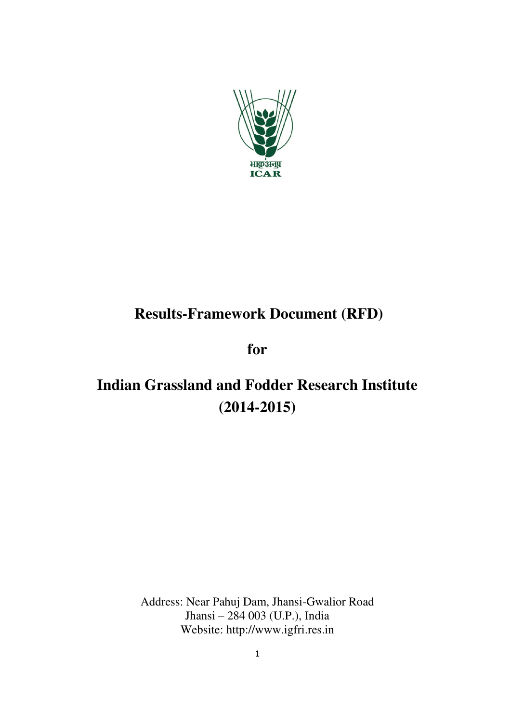

## **Results-Framework Document (RFD)**

**for** 

# **Indian Grassland and Fodder Research Institute (2014-2015)**

Address: Near Pahuj Dam, Jhansi-Gwalior Road Jhansi – 284 003 (U.P.), India Website: http://www.igfri.res.in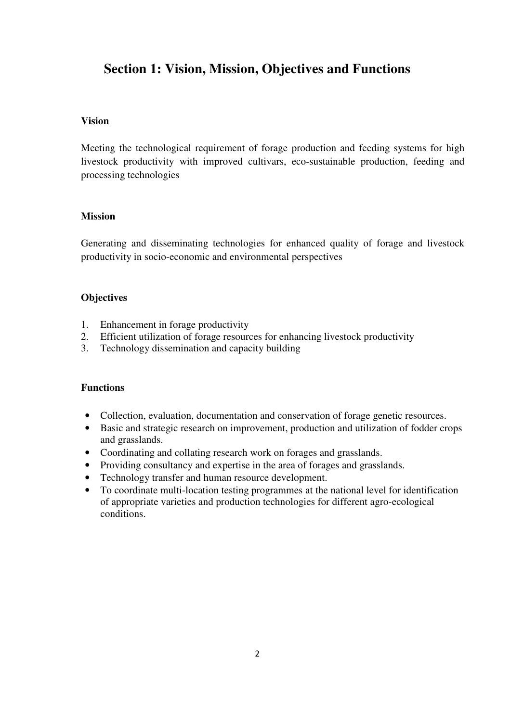## **Section 1: Vision, Mission, Objectives and Functions**

#### **Vision**

Meeting the technological requirement of forage production and feeding systems for high livestock productivity with improved cultivars, eco-sustainable production, feeding and processing technologies

#### **Mission**

Generating and disseminating technologies for enhanced quality of forage and livestock productivity in socio-economic and environmental perspectives

#### **Objectives**

- 1. Enhancement in forage productivity
- 2. Efficient utilization of forage resources for enhancing livestock productivity
- 3. Technology dissemination and capacity building

#### **Functions**

- Collection, evaluation, documentation and conservation of forage genetic resources.
- Basic and strategic research on improvement, production and utilization of fodder crops and grasslands.
- Coordinating and collating research work on forages and grasslands.
- Providing consultancy and expertise in the area of forages and grasslands.
- Technology transfer and human resource development.
- To coordinate multi-location testing programmes at the national level for identification of appropriate varieties and production technologies for different agro-ecological conditions.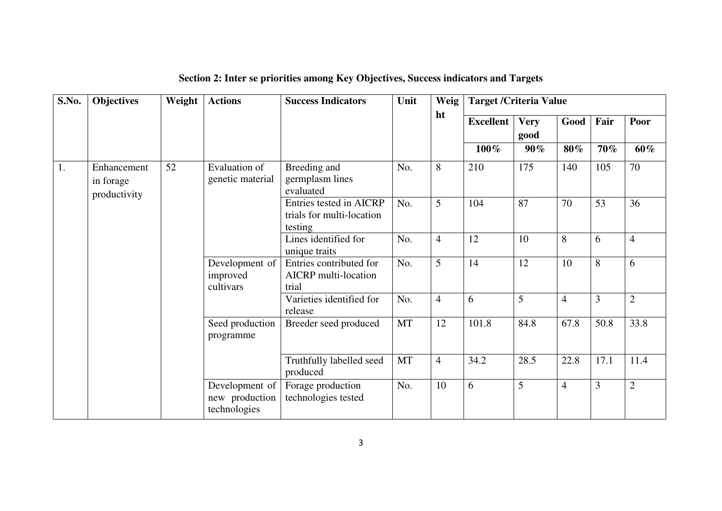| S.No. | <b>Objectives</b>                        | Weight | <b>Actions</b>                                   | <b>Success Indicators</b>                                       | Unit      | Weig           | <b>Target / Criteria Value</b> |                     |                |                |                |
|-------|------------------------------------------|--------|--------------------------------------------------|-----------------------------------------------------------------|-----------|----------------|--------------------------------|---------------------|----------------|----------------|----------------|
|       |                                          |        |                                                  |                                                                 |           | ht             | <b>Excellent</b>               | <b>Very</b><br>good | Good           | Fair           | Poor           |
|       |                                          |        |                                                  |                                                                 |           |                | $100\%$                        | 90%                 | 80%            | 70%            | 60%            |
| 1.    | Enhancement<br>in forage<br>productivity | 52     | Evaluation of<br>genetic material                | Breeding and<br>germplasm lines<br>evaluated                    | No.       | 8              | 210                            | 175                 | 140            | 105            | 70             |
|       |                                          |        |                                                  | Entries tested in AICRP<br>trials for multi-location<br>testing | No.       | $\overline{5}$ | 104                            | 87                  | 70             | 53             | 36             |
|       |                                          |        |                                                  | Lines identified for<br>unique traits                           | No.       | $\overline{4}$ | 12                             | 10                  | 8              | 6              | $\overline{4}$ |
|       |                                          |        | Development of<br>improved<br>cultivars          | Entries contributed for<br><b>AICRP</b> multi-location<br>trial | No.       | 5              | 14                             | 12                  | 10             | 8              | 6              |
|       |                                          |        |                                                  | Varieties identified for<br>release                             | No.       | $\overline{4}$ | 6                              | 5                   | $\overline{4}$ | 3              | $\overline{2}$ |
|       |                                          |        | Seed production<br>programme                     | Breeder seed produced                                           | <b>MT</b> | 12             | 101.8                          | 84.8                | 67.8           | 50.8           | 33.8           |
|       |                                          |        |                                                  | Truthfully labelled seed<br>produced                            | MT        | $\overline{4}$ | 34.2                           | 28.5                | 22.8           | 17.1           | 11.4           |
|       |                                          |        | Development of<br>new production<br>technologies | Forage production<br>technologies tested                        | No.       | 10             | 6                              | 5                   | $\overline{4}$ | $\overline{3}$ | $\overline{2}$ |

**Section 2: Inter se priorities among Key Objectives, Success indicators and Targets**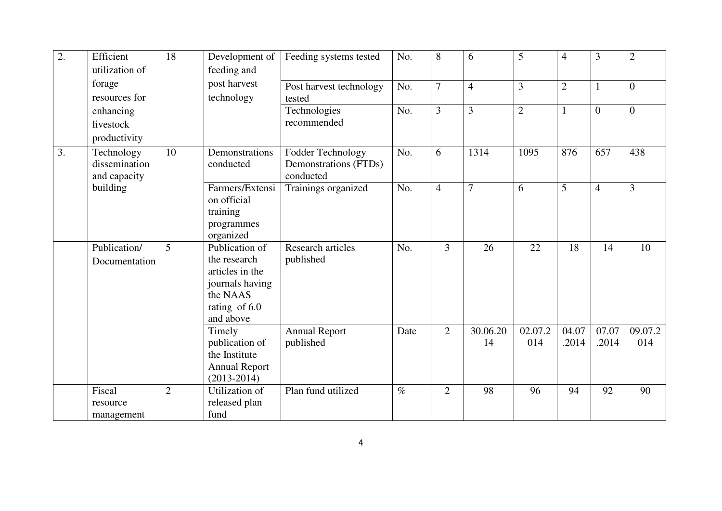| $\overline{2}$ . | Efficient      | $\overline{18}$ | Development of             | Feeding systems tested  | No.  | 8              | 6              | 5              | $\overline{4}$ | $\overline{3}$ | $\overline{2}$ |
|------------------|----------------|-----------------|----------------------------|-------------------------|------|----------------|----------------|----------------|----------------|----------------|----------------|
|                  |                |                 |                            |                         |      |                |                |                |                |                |                |
|                  | utilization of |                 | feeding and                |                         |      |                |                |                |                |                |                |
|                  | forage         |                 | post harvest               | Post harvest technology | No.  | $\overline{7}$ | $\overline{4}$ | $\overline{3}$ | $\overline{2}$ | $\mathbf{1}$   | $\overline{0}$ |
|                  | resources for  |                 | technology                 | tested                  |      |                |                |                |                |                |                |
|                  | enhancing      |                 |                            | Technologies            | No.  | 3              | 3              | $\overline{2}$ | $\mathbf{1}$   | $\overline{0}$ | $\overline{0}$ |
|                  | livestock      |                 |                            | recommended             |      |                |                |                |                |                |                |
|                  | productivity   |                 |                            |                         |      |                |                |                |                |                |                |
| 3.               | Technology     | 10              | Demonstrations             | Fodder Technology       | No.  | 6              | 1314           | 1095           | 876            | 657            | 438            |
|                  | dissemination  |                 | conducted                  | Demonstrations (FTDs)   |      |                |                |                |                |                |                |
|                  | and capacity   |                 |                            | conducted               |      |                |                |                |                |                |                |
|                  | building       |                 | Farmers/Extensi            | Trainings organized     | No.  | $\overline{4}$ | $\overline{7}$ | 6              | 5              | $\overline{4}$ | 3              |
|                  |                |                 | on official                |                         |      |                |                |                |                |                |                |
|                  |                |                 | training                   |                         |      |                |                |                |                |                |                |
|                  |                |                 | programmes                 |                         |      |                |                |                |                |                |                |
|                  |                |                 | organized                  |                         |      |                |                |                |                |                |                |
|                  | Publication/   | $\overline{5}$  | Publication of             | Research articles       | No.  | $\overline{3}$ | 26             | 22             | 18             | 14             | 10             |
|                  | Documentation  |                 | the research               | published               |      |                |                |                |                |                |                |
|                  |                |                 | articles in the            |                         |      |                |                |                |                |                |                |
|                  |                |                 | journals having            |                         |      |                |                |                |                |                |                |
|                  |                |                 | the NAAS                   |                         |      |                |                |                |                |                |                |
|                  |                |                 | rating of 6.0<br>and above |                         |      |                |                |                |                |                |                |
|                  |                |                 | Timely                     | <b>Annual Report</b>    | Date | $\overline{2}$ | 30.06.20       | 02.07.2        | 04.07          | 07.07          | 09.07.2        |
|                  |                |                 | publication of             | published               |      |                | 14             | 014            | .2014          | .2014          | 014            |
|                  |                |                 | the Institute              |                         |      |                |                |                |                |                |                |
|                  |                |                 | <b>Annual Report</b>       |                         |      |                |                |                |                |                |                |
|                  |                |                 | $(2013 - 2014)$            |                         |      |                |                |                |                |                |                |
|                  | Fiscal         | $\overline{2}$  | Utilization of             | Plan fund utilized      | $\%$ | $\overline{2}$ | 98             | 96             | 94             | 92             | 90             |
|                  | resource       |                 | released plan              |                         |      |                |                |                |                |                |                |
|                  | management     |                 | fund                       |                         |      |                |                |                |                |                |                |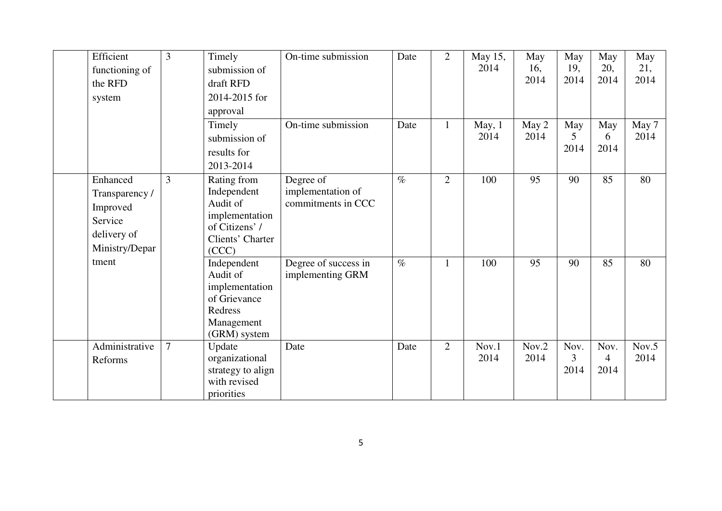|       | Efficient      | 3              | Timely                              | On-time submission   | Date | $\overline{2}$ | May 15,       | May           | May         | May                    | May         |
|-------|----------------|----------------|-------------------------------------|----------------------|------|----------------|---------------|---------------|-------------|------------------------|-------------|
|       | functioning of |                | submission of                       |                      |      |                | 2014          | 16,<br>2014   | 19,<br>2014 | 20,<br>2014            | 21,<br>2014 |
|       | the RFD        |                | draft RFD                           |                      |      |                |               |               |             |                        |             |
|       | system         |                | 2014-2015 for                       |                      |      |                |               |               |             |                        |             |
|       |                |                | approval                            |                      |      |                |               |               |             |                        |             |
|       |                |                | Timely                              | On-time submission   | Date | $\mathbf{1}$   | May, 1        | May 2         | May         | May                    | May 7       |
|       |                |                | submission of                       |                      |      |                | 2014          | 2014          | 5           | 6                      | 2014        |
|       |                |                | results for                         |                      |      |                |               |               | 2014        | 2014                   |             |
|       |                |                | 2013-2014                           |                      |      |                |               |               |             |                        |             |
|       | Enhanced       | 3              | Rating from                         | Degree of            | $\%$ | $\overline{2}$ | 100           | 95            | 90          | 85                     | 80          |
|       | Transparency / |                | Independent                         | implementation of    |      |                |               |               |             |                        |             |
|       | Improved       |                | Audit of                            | commitments in CCC   |      |                |               |               |             |                        |             |
|       | Service        |                | implementation                      |                      |      |                |               |               |             |                        |             |
|       | delivery of    |                | of Citizens' /<br>Clients' Charter  |                      |      |                |               |               |             |                        |             |
|       | Ministry/Depar |                | (CCC)                               |                      |      |                |               |               |             |                        |             |
| tment |                |                | Independent                         | Degree of success in | $\%$ | $\mathbf{1}$   | 100           | 95            | 90          | 85                     | 80          |
|       |                |                | Audit of                            | implementing GRM     |      |                |               |               |             |                        |             |
|       |                |                | implementation                      |                      |      |                |               |               |             |                        |             |
|       |                |                | of Grievance                        |                      |      |                |               |               |             |                        |             |
|       |                |                | Redress                             |                      |      |                |               |               |             |                        |             |
|       |                |                | Management                          |                      |      |                |               |               |             |                        |             |
|       | Administrative | $\overline{7}$ | (GRM) system                        |                      |      |                |               |               | Nov.        |                        | Nov.5       |
|       |                |                | Update                              | Date                 | Date | $\overline{2}$ | Nov.1<br>2014 | Nov.2<br>2014 | 3           | Nov.<br>$\overline{4}$ | 2014        |
|       | Reforms        |                | organizational<br>strategy to align |                      |      |                |               |               | 2014        | 2014                   |             |
|       |                |                | with revised                        |                      |      |                |               |               |             |                        |             |
|       |                |                | priorities                          |                      |      |                |               |               |             |                        |             |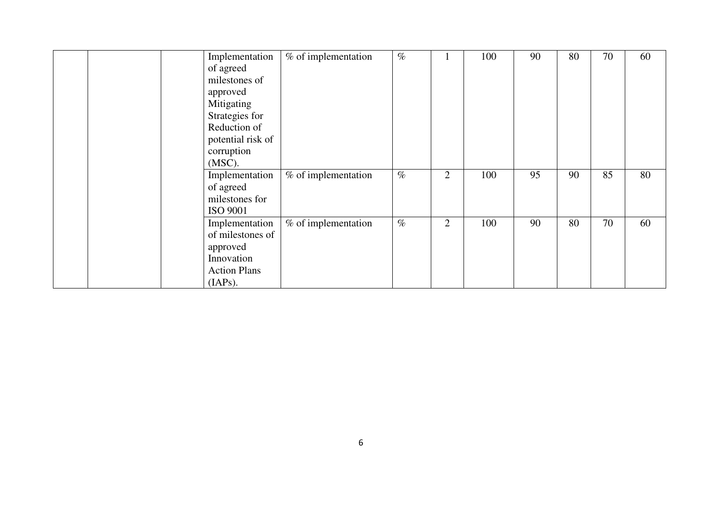|  | Implementation      | % of implementation | $\%$ |                | 100 | 90 | 80 | 70 | 60 |
|--|---------------------|---------------------|------|----------------|-----|----|----|----|----|
|  | of agreed           |                     |      |                |     |    |    |    |    |
|  | milestones of       |                     |      |                |     |    |    |    |    |
|  | approved            |                     |      |                |     |    |    |    |    |
|  | Mitigating          |                     |      |                |     |    |    |    |    |
|  | Strategies for      |                     |      |                |     |    |    |    |    |
|  | Reduction of        |                     |      |                |     |    |    |    |    |
|  | potential risk of   |                     |      |                |     |    |    |    |    |
|  | corruption          |                     |      |                |     |    |    |    |    |
|  | $(MSC)$ .           |                     |      |                |     |    |    |    |    |
|  | Implementation      | % of implementation | $\%$ | $\overline{2}$ | 100 | 95 | 90 | 85 | 80 |
|  | of agreed           |                     |      |                |     |    |    |    |    |
|  | milestones for      |                     |      |                |     |    |    |    |    |
|  | <b>ISO 9001</b>     |                     |      |                |     |    |    |    |    |
|  | Implementation      | % of implementation | $\%$ | $\overline{2}$ | 100 | 90 | 80 | 70 | 60 |
|  | of milestones of    |                     |      |                |     |    |    |    |    |
|  | approved            |                     |      |                |     |    |    |    |    |
|  | Innovation          |                     |      |                |     |    |    |    |    |
|  | <b>Action Plans</b> |                     |      |                |     |    |    |    |    |
|  | (IAPs).             |                     |      |                |     |    |    |    |    |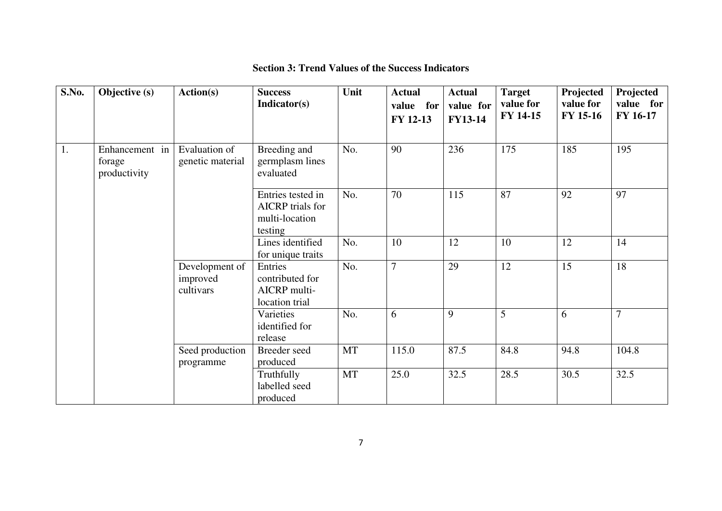| S.No. | Objective (s)                            | Action(s)                               | <b>Success</b><br>Indicator(s)                                            | Unit      | <b>Actual</b><br>value for<br>FY 12-13 | <b>Actual</b><br>value for<br><b>FY13-14</b> | <b>Target</b><br>value for<br>FY 14-15 | Projected<br>value for<br>FY 15-16 | Projected<br>value for<br><b>FY 16-17</b> |
|-------|------------------------------------------|-----------------------------------------|---------------------------------------------------------------------------|-----------|----------------------------------------|----------------------------------------------|----------------------------------------|------------------------------------|-------------------------------------------|
| 1.    | Enhancement in<br>forage<br>productivity | Evaluation of<br>genetic material       | Breeding and<br>germplasm lines<br>evaluated                              | No.       | 90                                     | 236                                          | 175                                    | 185                                | 195                                       |
|       |                                          |                                         | Entries tested in<br><b>AICRP</b> trials for<br>multi-location<br>testing | No.       | 70                                     | 115                                          | 87                                     | 92                                 | 97                                        |
|       |                                          |                                         | Lines identified<br>for unique traits                                     | No.       | 10                                     | 12                                           | 10                                     | 12                                 | 14                                        |
|       |                                          | Development of<br>improved<br>cultivars | Entries<br>contributed for<br>AICRP multi-<br>location trial              | No.       | $\overline{7}$                         | 29                                           | 12                                     | 15                                 | 18                                        |
|       |                                          |                                         | Varieties<br>identified for<br>release                                    | No.       | 6                                      | 9                                            | 5                                      | 6                                  | $\overline{7}$                            |
|       |                                          | Seed production<br>programme            | Breeder seed<br>produced                                                  | MT        | 115.0                                  | 87.5                                         | 84.8                                   | 94.8                               | 104.8                                     |
|       |                                          |                                         | Truthfully<br>labelled seed<br>produced                                   | <b>MT</b> | 25.0                                   | 32.5                                         | 28.5                                   | 30.5                               | 32.5                                      |

### **Section 3: Trend Values of the Success Indicators**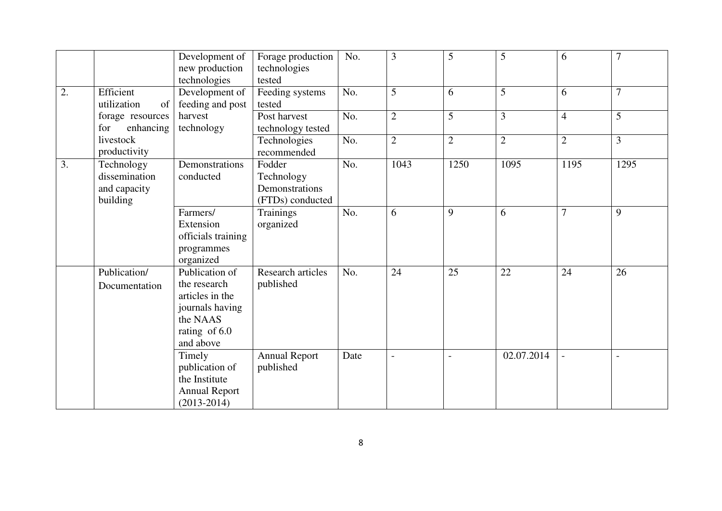|    |                                                         | Development of<br>new production<br>technologies                                                               | Forage production<br>technologies<br>tested                | No.  | $\overline{3}$           | 5              | 5              | 6              | $\overline{7}$ |
|----|---------------------------------------------------------|----------------------------------------------------------------------------------------------------------------|------------------------------------------------------------|------|--------------------------|----------------|----------------|----------------|----------------|
| 2. | Efficient<br>utilization<br>of                          | Development of<br>feeding and post                                                                             | Feeding systems<br>tested                                  | No.  | 5                        | 6              | 5              | 6              | $\overline{7}$ |
|    | forage resources<br>for<br>enhancing                    | harvest<br>technology                                                                                          | Post harvest<br>technology tested                          | No.  | $\overline{2}$           | 5              | 3              | $\overline{4}$ | 5              |
|    | livestock<br>productivity                               |                                                                                                                | Technologies<br>recommended                                | No.  | $\overline{2}$           | $\overline{2}$ | $\overline{2}$ | $\overline{2}$ | 3              |
| 3. | Technology<br>dissemination<br>and capacity<br>building | Demonstrations<br>conducted                                                                                    | Fodder<br>Technology<br>Demonstrations<br>(FTDs) conducted | No.  | 1043                     | 1250           | 1095           | 1195           | 1295           |
|    |                                                         | Farmers/<br>Extension<br>officials training<br>programmes<br>organized                                         | Trainings<br>organized                                     | No.  | 6                        | 9              | 6              | $\overline{7}$ | 9              |
|    | Publication/<br>Documentation                           | Publication of<br>the research<br>articles in the<br>journals having<br>the NAAS<br>rating of 6.0<br>and above | Research articles<br>published                             | No.  | 24                       | 25             | 22             | 24             | 26             |
|    |                                                         | Timely<br>publication of<br>the Institute<br><b>Annual Report</b><br>$(2013 - 2014)$                           | <b>Annual Report</b><br>published                          | Date | $\overline{\phantom{a}}$ |                | 02.07.2014     |                | $\overline{a}$ |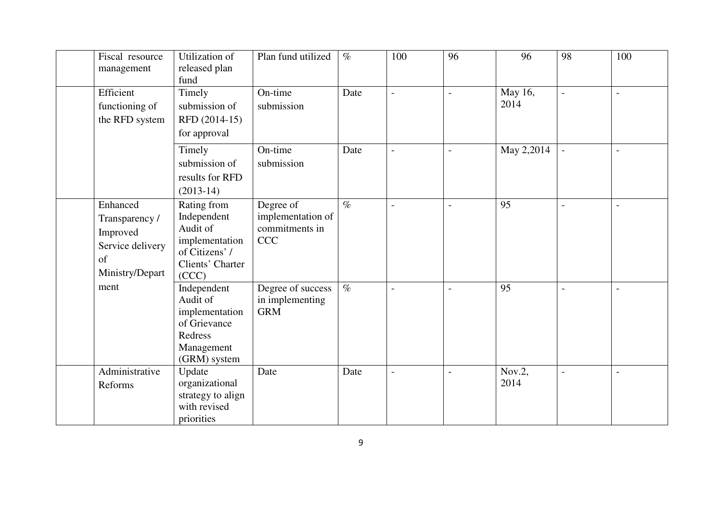| Fiscal resource<br>management                                                       | Utilization of<br>released plan<br>fund                                                                 | Plan fund utilized                                             | $\%$            | 100                      | 96                       | 96              | 98                       | 100            |
|-------------------------------------------------------------------------------------|---------------------------------------------------------------------------------------------------------|----------------------------------------------------------------|-----------------|--------------------------|--------------------------|-----------------|--------------------------|----------------|
| Efficient<br>functioning of<br>the RFD system                                       | Timely<br>submission of<br>RFD (2014-15)<br>for approval                                                | On-time<br>submission                                          | Date            | $\overline{a}$           | $\overline{\phantom{a}}$ | May 16,<br>2014 | $\blacksquare$           | $\overline{a}$ |
|                                                                                     | Timely<br>submission of<br>results for RFD<br>$(2013-14)$                                               | On-time<br>submission                                          | Date            | $\overline{a}$           | $\overline{a}$           | May 2,2014      |                          | $\overline{a}$ |
| Enhanced<br>Transparency /<br>Improved<br>Service delivery<br>of<br>Ministry/Depart | Rating from<br>Independent<br>Audit of<br>implementation<br>of Citizens' /<br>Clients' Charter<br>(CCC) | Degree of<br>implementation of<br>commitments in<br><b>CCC</b> | $\overline{\%}$ | $\overline{a}$           | $\overline{a}$           | $\overline{95}$ | $\overline{a}$           | $\overline{a}$ |
| ment                                                                                | Independent<br>Audit of<br>implementation<br>of Grievance<br>Redress<br>Management<br>(GRM) system      | Degree of success<br>in implementing<br><b>GRM</b>             | $\overline{\%}$ | $\overline{a}$           | $\overline{\phantom{a}}$ | 95              | $\blacksquare$           |                |
| Administrative<br>Reforms                                                           | Update<br>organizational<br>strategy to align<br>with revised<br>priorities                             | Date                                                           | Date            | $\overline{\phantom{a}}$ | $\overline{\phantom{0}}$ | Nov.2,<br>2014  | $\overline{\phantom{a}}$ | $\overline{a}$ |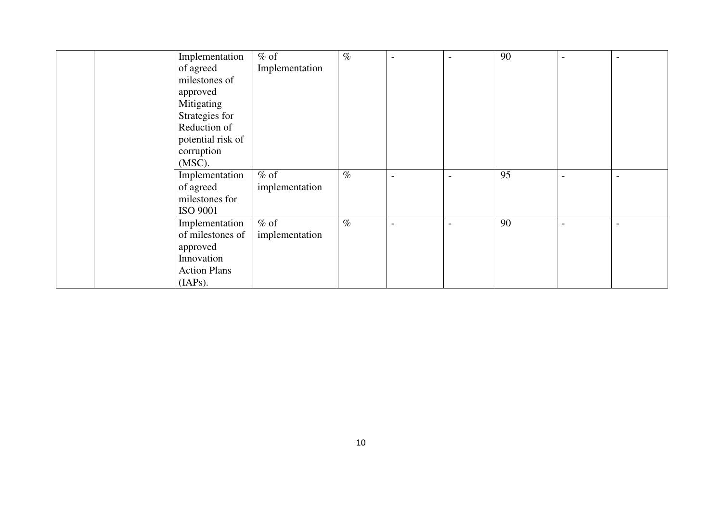|  | Implementation      | $%$ of         | $\%$ | $\overline{a}$ | $\overline{\phantom{0}}$ | 90 | $\overline{\phantom{a}}$ | $\overline{a}$ |
|--|---------------------|----------------|------|----------------|--------------------------|----|--------------------------|----------------|
|  | of agreed           | Implementation |      |                |                          |    |                          |                |
|  | milestones of       |                |      |                |                          |    |                          |                |
|  | approved            |                |      |                |                          |    |                          |                |
|  | Mitigating          |                |      |                |                          |    |                          |                |
|  | Strategies for      |                |      |                |                          |    |                          |                |
|  | Reduction of        |                |      |                |                          |    |                          |                |
|  | potential risk of   |                |      |                |                          |    |                          |                |
|  | corruption          |                |      |                |                          |    |                          |                |
|  | $(MSC)$ .           |                |      |                |                          |    |                          |                |
|  | Implementation      | $%$ of         | $\%$ |                |                          | 95 |                          |                |
|  | of agreed           | implementation |      |                |                          |    |                          |                |
|  | milestones for      |                |      |                |                          |    |                          |                |
|  | <b>ISO 9001</b>     |                |      |                |                          |    |                          |                |
|  | Implementation      | $%$ of         | $\%$ | $\overline{a}$ | $\overline{a}$           | 90 | $\overline{\phantom{a}}$ | $\overline{a}$ |
|  | of milestones of    | implementation |      |                |                          |    |                          |                |
|  | approved            |                |      |                |                          |    |                          |                |
|  | Innovation          |                |      |                |                          |    |                          |                |
|  | <b>Action Plans</b> |                |      |                |                          |    |                          |                |
|  | (IAPs).             |                |      |                |                          |    |                          |                |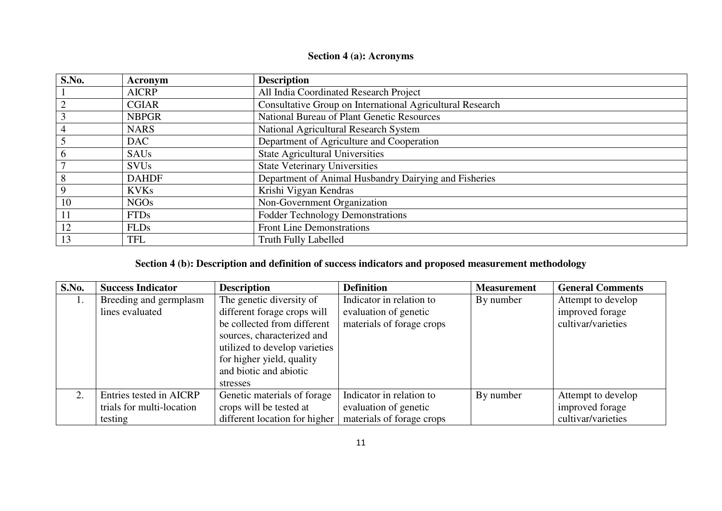#### **Section 4 (a): Acronyms**

| S.No. | Acronym      | <b>Description</b>                                        |
|-------|--------------|-----------------------------------------------------------|
|       | <b>AICRP</b> | All India Coordinated Research Project                    |
|       | <b>CGIAR</b> | Consultative Group on International Agricultural Research |
|       | <b>NBPGR</b> | National Bureau of Plant Genetic Resources                |
|       | <b>NARS</b>  | National Agricultural Research System                     |
|       | <b>DAC</b>   | Department of Agriculture and Cooperation                 |
|       | <b>SAUs</b>  | <b>State Agricultural Universities</b>                    |
|       | <b>SVUs</b>  | <b>State Veterinary Universities</b>                      |
|       | <b>DAHDF</b> | Department of Animal Husbandry Dairying and Fisheries     |
|       | <b>KVKs</b>  | Krishi Vigyan Kendras                                     |
| 10    | <b>NGOs</b>  | Non-Government Organization                               |
|       | <b>FTDs</b>  | <b>Fodder Technology Demonstrations</b>                   |
| 12    | <b>FLDs</b>  | <b>Front Line Demonstrations</b>                          |
| 13    | TFL          | <b>Truth Fully Labelled</b>                               |

#### **Section 4 (b): Description and definition of success indicators and proposed measurement methodology**

| S.No. | <b>Success Indicator</b>  | <b>Description</b>            | <b>Definition</b>         | <b>Measurement</b> | <b>General Comments</b> |
|-------|---------------------------|-------------------------------|---------------------------|--------------------|-------------------------|
| 1.    | Breeding and germplasm    | The genetic diversity of      | Indicator in relation to  | By number          | Attempt to develop      |
|       | lines evaluated           | different forage crops will   | evaluation of genetic     |                    | improved forage         |
|       |                           | be collected from different   | materials of forage crops |                    | cultivar/varieties      |
|       |                           | sources, characterized and    |                           |                    |                         |
|       |                           | utilized to develop varieties |                           |                    |                         |
|       |                           | for higher yield, quality     |                           |                    |                         |
|       |                           | and biotic and abiotic        |                           |                    |                         |
|       |                           | stresses                      |                           |                    |                         |
| 2.    | Entries tested in AICRP   | Genetic materials of forage   | Indicator in relation to  | By number          | Attempt to develop      |
|       | trials for multi-location | crops will be tested at       | evaluation of genetic     |                    | improved forage         |
|       | testing                   | different location for higher | materials of forage crops |                    | cultivar/varieties      |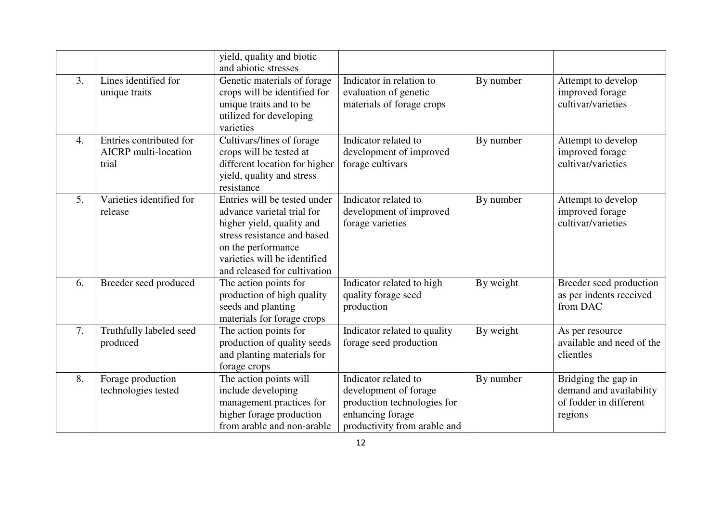|                  |                                                                 | yield, quality and biotic<br>and abiotic stresses                                                                                                                                                            |                                                                                                                                  |           |                                                                                     |
|------------------|-----------------------------------------------------------------|--------------------------------------------------------------------------------------------------------------------------------------------------------------------------------------------------------------|----------------------------------------------------------------------------------------------------------------------------------|-----------|-------------------------------------------------------------------------------------|
| 3.               | Lines identified for<br>unique traits                           | Genetic materials of forage<br>crops will be identified for<br>unique traits and to be<br>utilized for developing<br>varieties                                                                               | Indicator in relation to<br>evaluation of genetic<br>materials of forage crops                                                   | By number | Attempt to develop<br>improved forage<br>cultivar/varieties                         |
| $\overline{4}$ . | Entries contributed for<br><b>AICRP</b> multi-location<br>trial | Cultivars/lines of forage<br>crops will be tested at<br>different location for higher<br>yield, quality and stress<br>resistance                                                                             | Indicator related to<br>development of improved<br>forage cultivars                                                              | By number | Attempt to develop<br>improved forage<br>cultivar/varieties                         |
| 5.               | Varieties identified for<br>release                             | Entries will be tested under<br>advance varietal trial for<br>higher yield, quality and<br>stress resistance and based<br>on the performance<br>varieties will be identified<br>and released for cultivation | Indicator related to<br>development of improved<br>forage varieties                                                              | By number | Attempt to develop<br>improved forage<br>cultivar/varieties                         |
| 6.               | Breeder seed produced                                           | The action points for<br>production of high quality<br>seeds and planting<br>materials for forage crops                                                                                                      | Indicator related to high<br>quality forage seed<br>production                                                                   | By weight | Breeder seed production<br>as per indents received<br>from DAC                      |
| 7.               | Truthfully labeled seed<br>produced                             | The action points for<br>production of quality seeds<br>and planting materials for<br>forage crops                                                                                                           | Indicator related to quality<br>forage seed production                                                                           | By weight | As per resource<br>available and need of the<br>clientles                           |
| 8.               | Forage production<br>technologies tested                        | The action points will<br>include developing<br>management practices for<br>higher forage production<br>from arable and non-arable                                                                           | Indicator related to<br>development of forage<br>production technologies for<br>enhancing forage<br>productivity from arable and | By number | Bridging the gap in<br>demand and availability<br>of fodder in different<br>regions |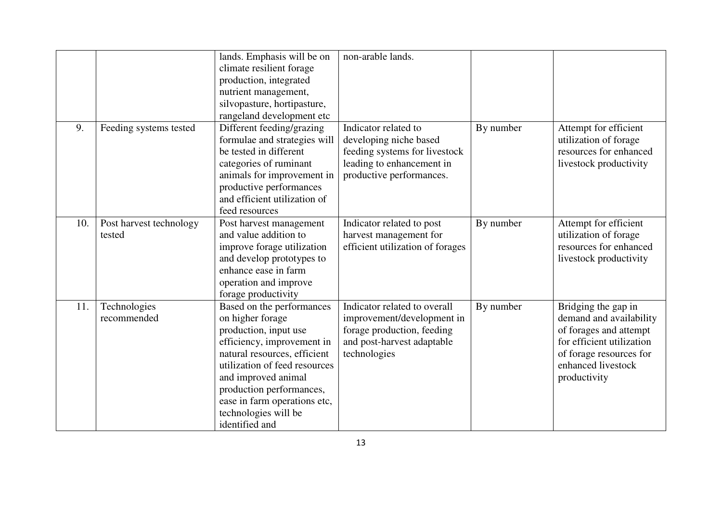|     |                                   | lands. Emphasis will be on<br>climate resilient forage<br>production, integrated<br>nutrient management,<br>silvopasture, hortipasture,<br>rangeland development etc                                                                                                                               | non-arable lands.                                                                                                                        |           |                                                                                                                                                                        |
|-----|-----------------------------------|----------------------------------------------------------------------------------------------------------------------------------------------------------------------------------------------------------------------------------------------------------------------------------------------------|------------------------------------------------------------------------------------------------------------------------------------------|-----------|------------------------------------------------------------------------------------------------------------------------------------------------------------------------|
| 9.  | Feeding systems tested            | Different feeding/grazing<br>formulae and strategies will<br>be tested in different<br>categories of ruminant<br>animals for improvement in<br>productive performances<br>and efficient utilization of<br>feed resources                                                                           | Indicator related to<br>developing niche based<br>feeding systems for livestock<br>leading to enhancement in<br>productive performances. | By number | Attempt for efficient<br>utilization of forage<br>resources for enhanced<br>livestock productivity                                                                     |
| 10. | Post harvest technology<br>tested | Post harvest management<br>and value addition to<br>improve forage utilization<br>and develop prototypes to<br>enhance ease in farm<br>operation and improve<br>forage productivity                                                                                                                | Indicator related to post<br>harvest management for<br>efficient utilization of forages                                                  | By number | Attempt for efficient<br>utilization of forage<br>resources for enhanced<br>livestock productivity                                                                     |
| 11. | Technologies<br>recommended       | Based on the performances<br>on higher forage<br>production, input use<br>efficiency, improvement in<br>natural resources, efficient<br>utilization of feed resources<br>and improved animal<br>production performances,<br>ease in farm operations etc,<br>technologies will be<br>identified and | Indicator related to overall<br>improvement/development in<br>forage production, feeding<br>and post-harvest adaptable<br>technologies   | By number | Bridging the gap in<br>demand and availability<br>of forages and attempt<br>for efficient utilization<br>of forage resources for<br>enhanced livestock<br>productivity |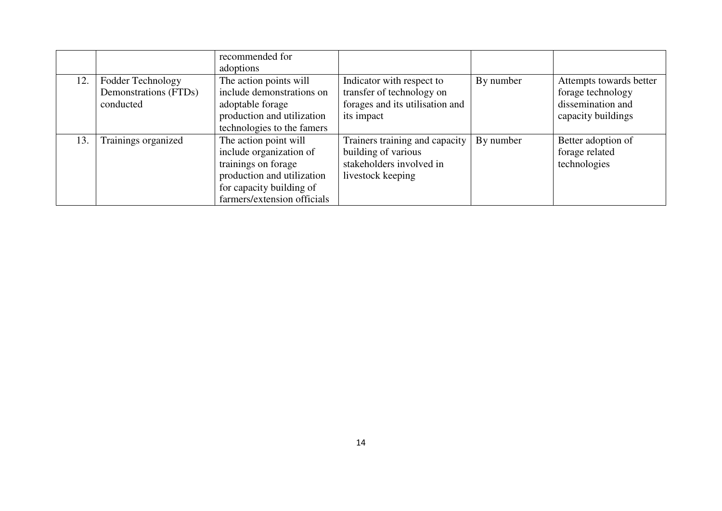|     |                                                         | recommended for<br>adoptions                                                                                                                                     |                                                                                                         |           |                                                                                         |
|-----|---------------------------------------------------------|------------------------------------------------------------------------------------------------------------------------------------------------------------------|---------------------------------------------------------------------------------------------------------|-----------|-----------------------------------------------------------------------------------------|
| 12. | Fodder Technology<br>Demonstrations (FTDs)<br>conducted | The action points will<br>include demonstrations on<br>adoptable forage<br>production and utilization<br>technologies to the famers                              | Indicator with respect to<br>transfer of technology on<br>forages and its utilisation and<br>its impact | By number | Attempts towards better<br>forage technology<br>dissemination and<br>capacity buildings |
| 13. | Trainings organized                                     | The action point will<br>include organization of<br>trainings on forage<br>production and utilization<br>for capacity building of<br>farmers/extension officials | Trainers training and capacity<br>building of various<br>stakeholders involved in<br>livestock keeping  | By number | Better adoption of<br>forage related<br>technologies                                    |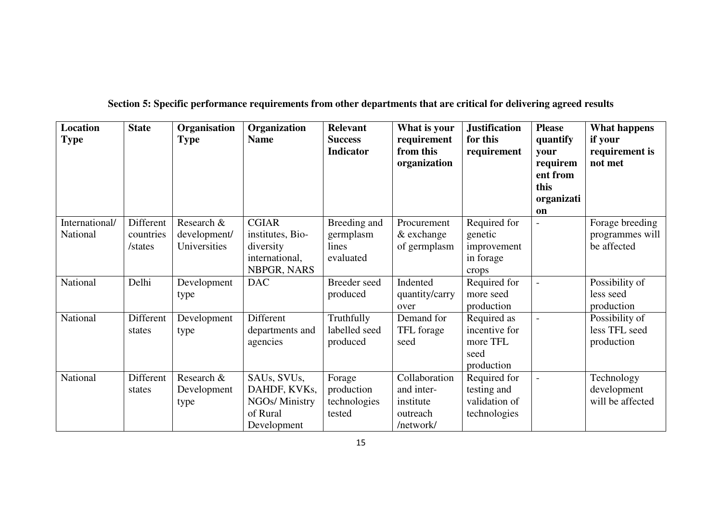|  |  | Section 5: Specific performance requirements from other departments that are critical for delivering agreed results |  |  |
|--|--|---------------------------------------------------------------------------------------------------------------------|--|--|
|  |  |                                                                                                                     |  |  |

| <b>Location</b><br><b>Type</b> | <b>State</b>                      | Organisation<br><b>Type</b>                | Organization<br><b>Name</b>                                                    | <b>Relevant</b><br><b>Success</b><br><b>Indicator</b> | What is your<br>requirement<br>from this<br>organization          | <b>Justification</b><br>for this<br>requirement                | <b>Please</b><br>quantify<br>vour<br>requirem<br>ent from<br>this<br>organizati<br>on | <b>What happens</b><br>if your<br>requirement is<br>not met |
|--------------------------------|-----------------------------------|--------------------------------------------|--------------------------------------------------------------------------------|-------------------------------------------------------|-------------------------------------------------------------------|----------------------------------------------------------------|---------------------------------------------------------------------------------------|-------------------------------------------------------------|
| International/<br>National     | Different<br>countries<br>/states | Research &<br>development/<br>Universities | <b>CGIAR</b><br>institutes, Bio-<br>diversity<br>international,<br>NBPGR, NARS | Breeding and<br>germplasm<br>lines<br>evaluated       | Procurement<br>& exchange<br>of germplasm                         | Required for<br>genetic<br>improvement<br>in forage<br>crops   |                                                                                       | Forage breeding<br>programmes will<br>be affected           |
| National                       | Delhi                             | Development<br>type                        | <b>DAC</b>                                                                     | Breeder seed<br>produced                              | Indented<br>quantity/carry<br>over                                | Required for<br>more seed<br>production                        |                                                                                       | Possibility of<br>less seed<br>production                   |
| National                       | Different<br>states               | Development<br>type                        | Different<br>departments and<br>agencies                                       | Truthfully<br>labelled seed<br>produced               | Demand for<br>TFL forage<br>seed                                  | Required as<br>incentive for<br>more TFL<br>seed<br>production |                                                                                       | Possibility of<br>less TFL seed<br>production               |
| National                       | Different<br>states               | Research $\&$<br>Development<br>type       | SAUs, SVUs,<br>DAHDF, KVKs,<br>NGOs/ Ministry<br>of Rural<br>Development       | Forage<br>production<br>technologies<br>tested        | Collaboration<br>and inter-<br>institute<br>outreach<br>/network/ | Required for<br>testing and<br>validation of<br>technologies   |                                                                                       | Technology<br>development<br>will be affected               |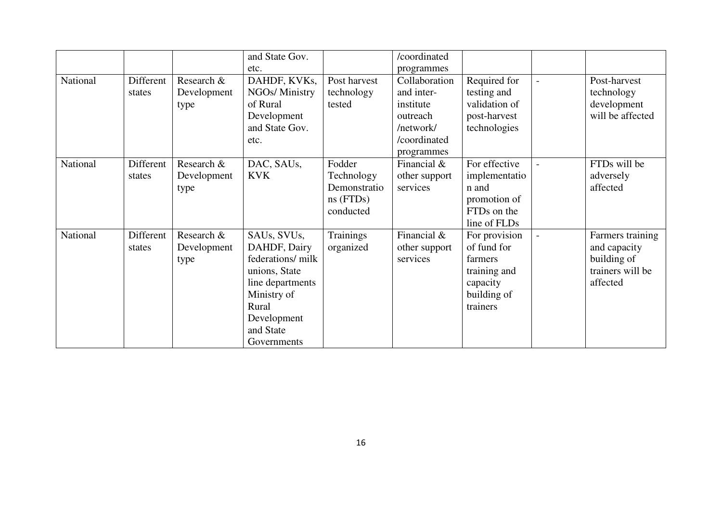|          |           |             | and State Gov.    |              | /coordinated   |               |                  |
|----------|-----------|-------------|-------------------|--------------|----------------|---------------|------------------|
|          |           |             | etc.              |              | programmes     |               |                  |
| National | Different | Research &  | DAHDF, KVKs,      | Post harvest | Collaboration  | Required for  | Post-harvest     |
|          | states    | Development | NGOs/ Ministry    | technology   | and inter-     | testing and   | technology       |
|          |           | type        | of Rural          | tested       | institute      | validation of | development      |
|          |           |             | Development       |              | outreach       | post-harvest  | will be affected |
|          |           |             | and State Gov.    |              | /network/      | technologies  |                  |
|          |           |             | etc.              |              | /coordinated   |               |                  |
|          |           |             |                   |              | programmes     |               |                  |
| National | Different | Research &  | DAC, SAUs,        | Fodder       | Financial $\&$ | For effective | FTDs will be     |
|          | states    | Development | <b>KVK</b>        | Technology   | other support  | implementatio | adversely        |
|          |           | type        |                   | Demonstratio | services       | n and         | affected         |
|          |           |             |                   | $ns$ (FTDs)  |                | promotion of  |                  |
|          |           |             |                   | conducted    |                | FTDs on the   |                  |
|          |           |             |                   |              |                | line of FLDs  |                  |
| National | Different | Research &  | SAUs, SVUs,       | Trainings    | Financial $\&$ | For provision | Farmers training |
|          | states    | Development | DAHDF, Dairy      | organized    | other support  | of fund for   | and capacity     |
|          |           | type        | federations/ milk |              | services       | farmers       | building of      |
|          |           |             | unions, State     |              |                | training and  | trainers will be |
|          |           |             | line departments  |              |                | capacity      | affected         |
|          |           |             | Ministry of       |              |                | building of   |                  |
|          |           |             | Rural             |              |                | trainers      |                  |
|          |           |             | Development       |              |                |               |                  |
|          |           |             | and State         |              |                |               |                  |
|          |           |             | Governments       |              |                |               |                  |